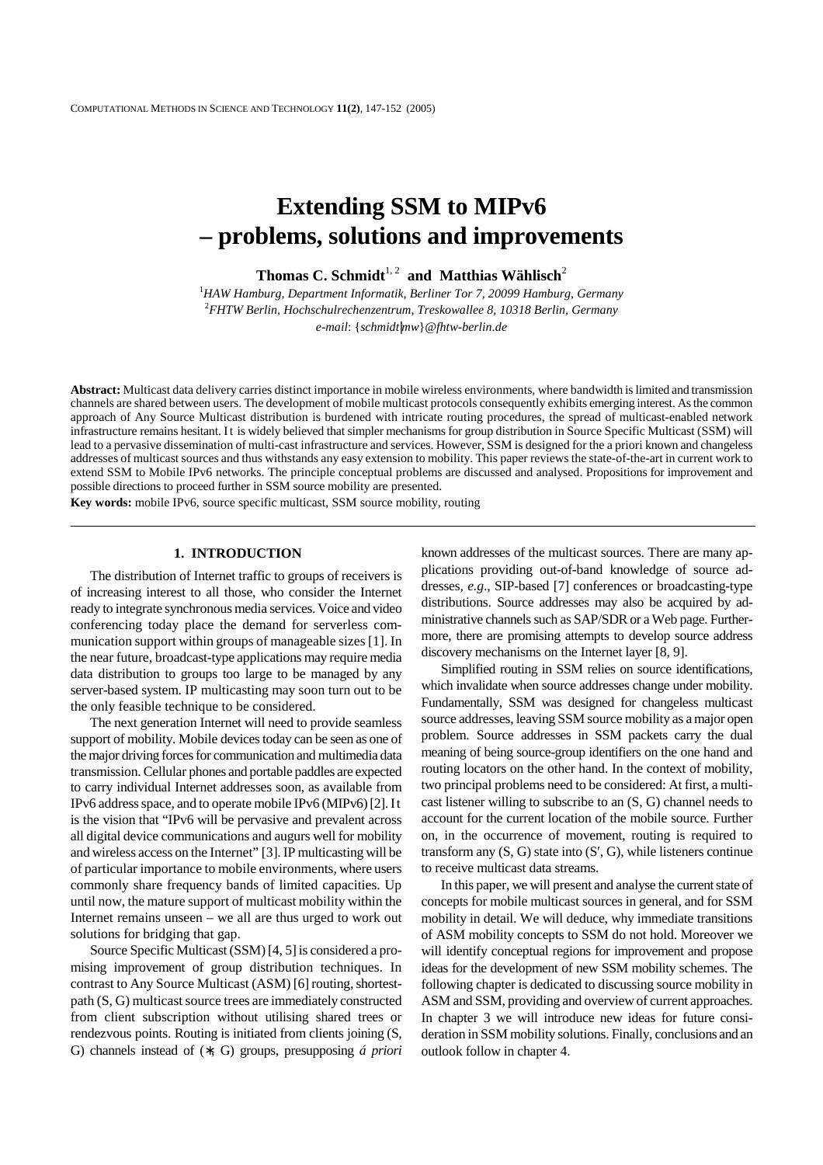# **Extending SSM to MIPv6 – problems, solutions and improvements**

**Thomas C. Schmidt**<sup>1, 2</sup> **and Matthias Wählisch<sup>2</sup>** 

<sup>1</sup>HAW Hamburg, Department Informatik, Berliner Tor 7, 20099 Hamburg, Germany 2 *FHTW Berlin, Hochschulrechenzentrum, Treskowallee 8, 10318 Berlin, Germany e-mail*: {*schmidt*|*mw*}*@fhtw-berlin.de* 

**Abstract:** Multicast data delivery carries distinct importance in mobile wireless environments, where bandwidth is limited and transmission channels are shared between users. The development of mobile multicast protocols consequently exhibits emerging interest. As the common approach of Any Source Multicast distribution is burdened with intricate routing procedures, the spread of multicast-enabled network infrastructure remains hesitant. It is widely believed that simpler mechanisms for group distribution in Source Specific Multicast (SSM) will lead to a pervasive dissemination of multi-cast infrastructure and services. However, SSM is designed for the a priori known and changeless addresses of multicast sources and thus withstands any easy extension to mobility. This paper reviews the state-of-the-art in current work to extend SSM to Mobile IPv6 networks. The principle conceptual problems are discussed and analysed. Propositions for improvement and possible directions to proceed further in SSM source mobility are presented.

**Key words:** mobile IPv6, source specific multicast, SSM source mobility, routing

# **1. INTRODUCTION**

 The distribution of Internet traffic to groups of receivers is of increasing interest to all those, who consider the Internet ready to integrate synchronous media services. Voice and video conferencing today place the demand for serverless communication support within groups of manageable sizes [1]. In the near future, broadcast-type applications may require media data distribution to groups too large to be managed by any server-based system. IP multicasting may soon turn out to be the only feasible technique to be considered.

 The next generation Internet will need to provide seamless support of mobility. Mobile devices today can be seen as one of the major driving forces for communication and multimedia data transmission. Cellular phones and portable paddles are expected to carry individual Internet addresses soon, as available from IPv6 address space, and to operate mobile IPv6 (MIPv6) [2]. It is the vision that "IPv6 will be pervasive and prevalent across all digital device communications and augurs well for mobility and wireless access on the Internet" [3]. IP multicasting will be of particular importance to mobile environments, where users commonly share frequency bands of limited capacities. Up until now, the mature support of multicast mobility within the Internet remains unseen – we all are thus urged to work out solutions for bridging that gap.

 Source Specific Multicast (SSM) [4, 5] is considered a promising improvement of group distribution techniques. In contrast to Any Source Multicast (ASM) [6] routing, shortestpath (S, G) multicast source trees are immediately constructed from client subscription without utilising shared trees or rendezvous points. Routing is initiated from clients joining (S, G) channels instead of (∗, G) groups, presupposing *á priori* known addresses of the multicast sources. There are many applications providing out-of-band knowledge of source addresses, *e.g*., SIP-based [7] conferences or broadcasting-type distributions. Source addresses may also be acquired by administrative channels such as SAP/SDR or a Web page. Furthermore, there are promising attempts to develop source address discovery mechanisms on the Internet layer [8, 9].

 Simplified routing in SSM relies on source identifications, which invalidate when source addresses change under mobility. Fundamentally, SSM was designed for changeless multicast source addresses, leaving SSM source mobility as a major open problem. Source addresses in SSM packets carry the dual meaning of being source-group identifiers on the one hand and routing locators on the other hand. In the context of mobility, two principal problems need to be considered: At first, a multicast listener willing to subscribe to an (S, G) channel needs to account for the current location of the mobile source. Further on, in the occurrence of movement, routing is required to transform any  $(S, G)$  state into  $(S', G)$ , while listeners continue<br>to receive multicast data streams.<br>In this paper, we will present and analyse the current state of to receive multicast data streams.

 In this paper, we will present and analyse the current state of concepts for mobile multicast sources in general, and for SSM mobility in detail. We will deduce, why immediate transitions of ASM mobility concepts to SSM do not hold. Moreover we will identify conceptual regions for improvement and propose ideas for the development of new SSM mobility schemes. The following chapter is dedicated to discussing source mobility in ASM and SSM, providing and overview of current approaches. In chapter 3 we will introduce new ideas for future consideration in SSM mobility solutions. Finally, conclusions and an outlook follow in chapter 4.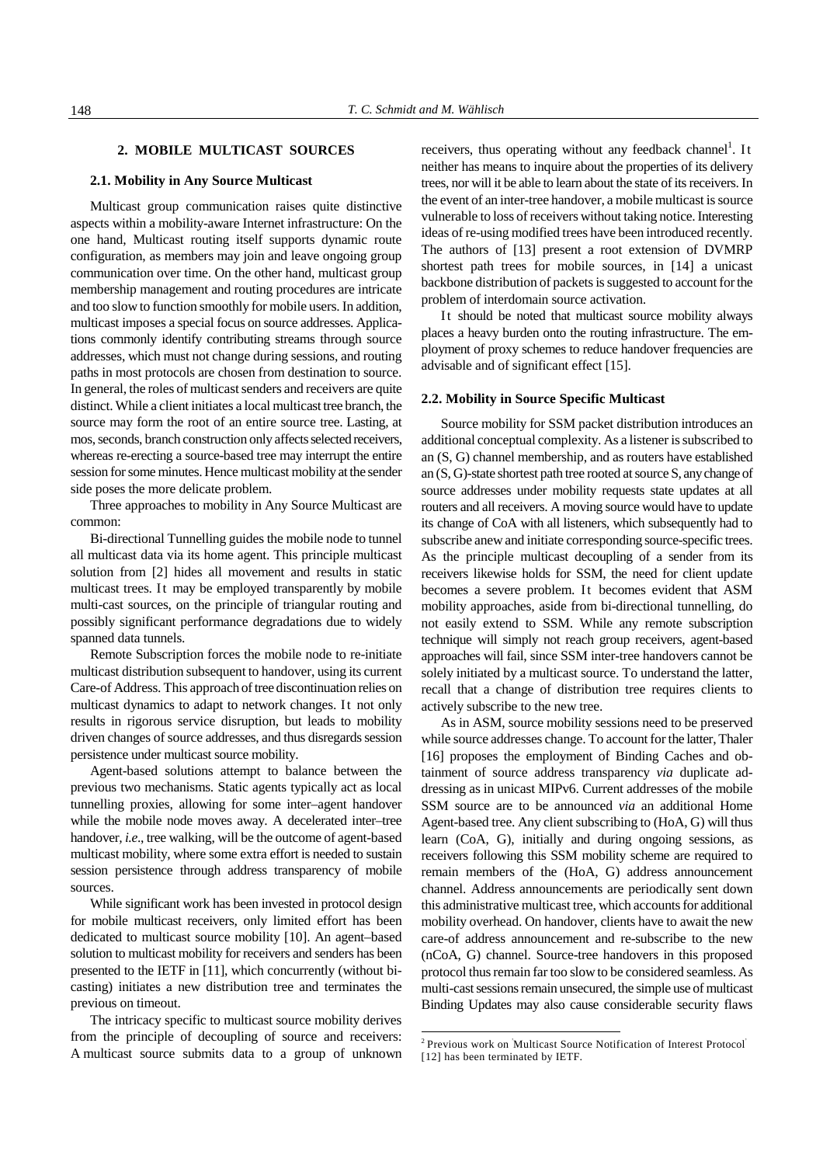## **2. MOBILE MULTICAST SOURCES**

### **2.1. Mobility in Any Source Multicast**

 Multicast group communication raises quite distinctive aspects within a mobility-aware Internet infrastructure: On the one hand, Multicast routing itself supports dynamic route configuration, as members may join and leave ongoing group communication over time. On the other hand, multicast group membership management and routing procedures are intricate and too slow to function smoothly for mobile users. In addition, multicast imposes a special focus on source addresses. Applications commonly identify contributing streams through source addresses, which must not change during sessions, and routing paths in most protocols are chosen from destination to source. In general, the roles of multicast senders and receivers are quite distinct. While a client initiates a local multicast tree branch, the source may form the root of an entire source tree. Lasting, at mos, seconds, branch construction only affects selected receivers, whereas re-erecting a source-based tree may interrupt the entire session for some minutes. Hence multicast mobility at the sender side poses the more delicate problem.

 Three approaches to mobility in Any Source Multicast are common:

 Bi-directional Tunnelling guides the mobile node to tunnel all multicast data via its home agent. This principle multicast solution from [2] hides all movement and results in static multicast trees. It may be employed transparently by mobile multi-cast sources, on the principle of triangular routing and possibly significant performance degradations due to widely spanned data tunnels.

 Remote Subscription forces the mobile node to re-initiate multicast distribution subsequent to handover, using its current Care-of Address. This approach of tree discontinuation relies on multicast dynamics to adapt to network changes. It not only results in rigorous service disruption, but leads to mobility driven changes of source addresses, and thus disregards session persistence under multicast source mobility.

 Agent-based solutions attempt to balance between the previous two mechanisms. Static agents typically act as local tunnelling proxies, allowing for some inter–agent handover while the mobile node moves away. A decelerated inter–tree handover*, i.e*., tree walking, will be the outcome of agent-based multicast mobility, where some extra effort is needed to sustain session persistence through address transparency of mobile sources.

 While significant work has been invested in protocol design for mobile multicast receivers, only limited effort has been dedicated to multicast source mobility [10]. An agent–based solution to multicast mobility for receivers and senders has been presented to the IETF in [11], which concurrently (without bicasting) initiates a new distribution tree and terminates the previous on timeout.

 The intricacy specific to multicast source mobility derives from the principle of decoupling of source and receivers: A multicast source submits data to a group of unknown

receivers, thus operating without any feedback channel<sup>1</sup>. It neither has means to inquire about the properties of its delivery trees, nor will it be able to learn about the state of its receivers. In the event of an inter-tree handover, a mobile multicast is source vulnerable to loss of receivers without taking notice. Interesting ideas of re-using modified trees have been introduced recently. The authors of [13] present a root extension of DVMRP shortest path trees for mobile sources, in [14] a unicast backbone distribution of packets is suggested to account for the problem of interdomain source activation.

 It should be noted that multicast source mobility always places a heavy burden onto the routing infrastructure. The employment of proxy schemes to reduce handover frequencies are advisable and of significant effect [15].

#### **2.2. Mobility in Source Specific Multicast**

 Source mobility for SSM packet distribution introduces an additional conceptual complexity. As a listener is subscribed to an (S, G) channel membership, and as routers have established an (S, G)-state shortest path tree rooted at source S, any change of source addresses under mobility requests state updates at all routers and all receivers. A moving source would have to update its change of CoA with all listeners, which subsequently had to subscribe anew and initiate corresponding source-specific trees. As the principle multicast decoupling of a sender from its receivers likewise holds for SSM, the need for client update becomes a severe problem. It becomes evident that ASM mobility approaches, aside from bi-directional tunnelling, do not easily extend to SSM. While any remote subscription technique will simply not reach group receivers, agent-based approaches will fail, since SSM inter-tree handovers cannot be solely initiated by a multicast source. To understand the latter, recall that a change of distribution tree requires clients to actively subscribe to the new tree.

 As in ASM, source mobility sessions need to be preserved while source addresses change. To account for the latter, Thaler [16] proposes the employment of Binding Caches and obtainment of source address transparency *via* duplicate addressing as in unicast MIPv6. Current addresses of the mobile SSM source are to be announced *via* an additional Home Agent-based tree. Any client subscribing to (HoA, G) will thus learn (CoA, G), initially and during ongoing sessions, as receivers following this SSM mobility scheme are required to remain members of the (HoA, G) address announcement channel. Address announcements are periodically sent down this administrative multicast tree, which accounts for additional mobility overhead. On handover, clients have to await the new care-of address announcement and re-subscribe to the new (nCoA, G) channel. Source-tree handovers in this proposed protocol thus remain far too slow to be considered seamless. As multi-cast sessions remain unsecured, the simple use of multicast Binding Updates may also cause considerable security flaws

-

<sup>&</sup>lt;sup>2</sup> Previous work on Multicast Source Notification of Interest Protocol [12] has been terminated by IETF.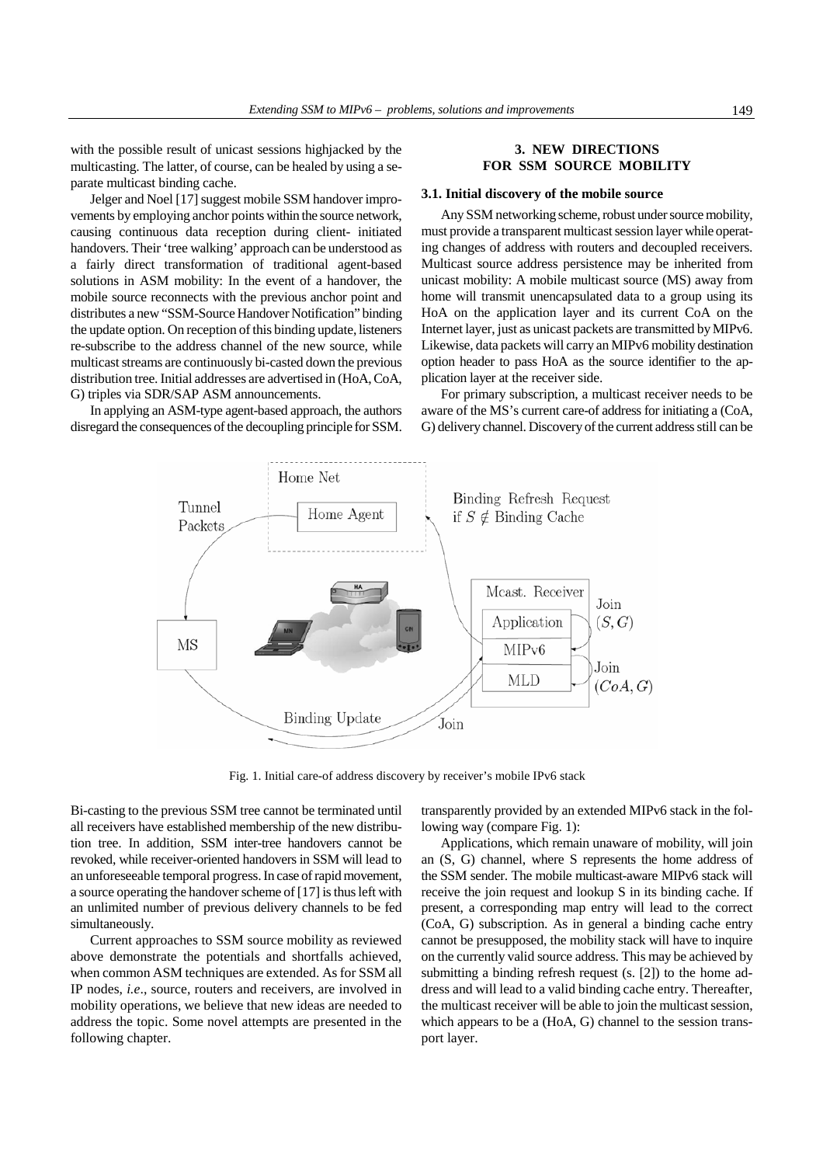with the possible result of unicast sessions highjacked by the multicasting. The latter, of course, can be healed by using a separate multicast binding cache.

 Jelger and Noel [17] suggest mobile SSM handover improvements by employing anchor points within the source network, causing continuous data reception during client- initiated handovers. Their 'tree walking' approach can be understood as a fairly direct transformation of traditional agent-based solutions in ASM mobility: In the event of a handover, the mobile source reconnects with the previous anchor point and distributes a new "SSM-Source Handover Notification" binding the update option. On reception of this binding update, listeners re-subscribe to the address channel of the new source, while multicast streams are continuously bi-casted down the previous distribution tree. Initial addresses are advertised in (HoA, CoA, G) triples via SDR/SAP ASM announcements.

 In applying an ASM-type agent-based approach, the authors disregard the consequences of the decoupling principle for SSM.

## **3. NEW DIRECTIONS FOR SSM SOURCE MOBILITY**

### **3.1. Initial discovery of the mobile source**

 Any SSM networking scheme, robust under source mobility, must provide a transparent multicast session layer while operating changes of address with routers and decoupled receivers. Multicast source address persistence may be inherited from unicast mobility: A mobile multicast source (MS) away from home will transmit unencapsulated data to a group using its HoA on the application layer and its current CoA on the Internet layer, just as unicast packets are transmitted by MIPv6. Likewise, data packets will carry an MIPv6 mobility destination option header to pass HoA as the source identifier to the application layer at the receiver side.

 For primary subscription, a multicast receiver needs to be aware of the MS's current care-of address for initiating a (CoA, G) delivery channel. Discovery of the current address still can be



Fig. 1. Initial care-of address discovery by receiver's mobile IPv6 stack

Bi-casting to the previous SSM tree cannot be terminated until all receivers have established membership of the new distribution tree. In addition, SSM inter-tree handovers cannot be revoked, while receiver-oriented handovers in SSM will lead to an unforeseeable temporal progress. In case of rapid movement, a source operating the handover scheme of [17] is thus left with an unlimited number of previous delivery channels to be fed simultaneously.

 Current approaches to SSM source mobility as reviewed above demonstrate the potentials and shortfalls achieved, when common ASM techniques are extended. As for SSM all IP nodes, *i.e*., source, routers and receivers, are involved in mobility operations, we believe that new ideas are needed to address the topic. Some novel attempts are presented in the following chapter.

transparently provided by an extended MIPv6 stack in the following way (compare Fig. 1):

 Applications, which remain unaware of mobility, will join an (S, G) channel, where S represents the home address of the SSM sender. The mobile multicast-aware MIPv6 stack will receive the join request and lookup S in its binding cache. If present, a corresponding map entry will lead to the correct (CoA, G) subscription. As in general a binding cache entry cannot be presupposed, the mobility stack will have to inquire on the currently valid source address. This may be achieved by submitting a binding refresh request (s. [2]) to the home address and will lead to a valid binding cache entry. Thereafter, the multicast receiver will be able to join the multicast session, which appears to be a (HoA, G) channel to the session transport layer.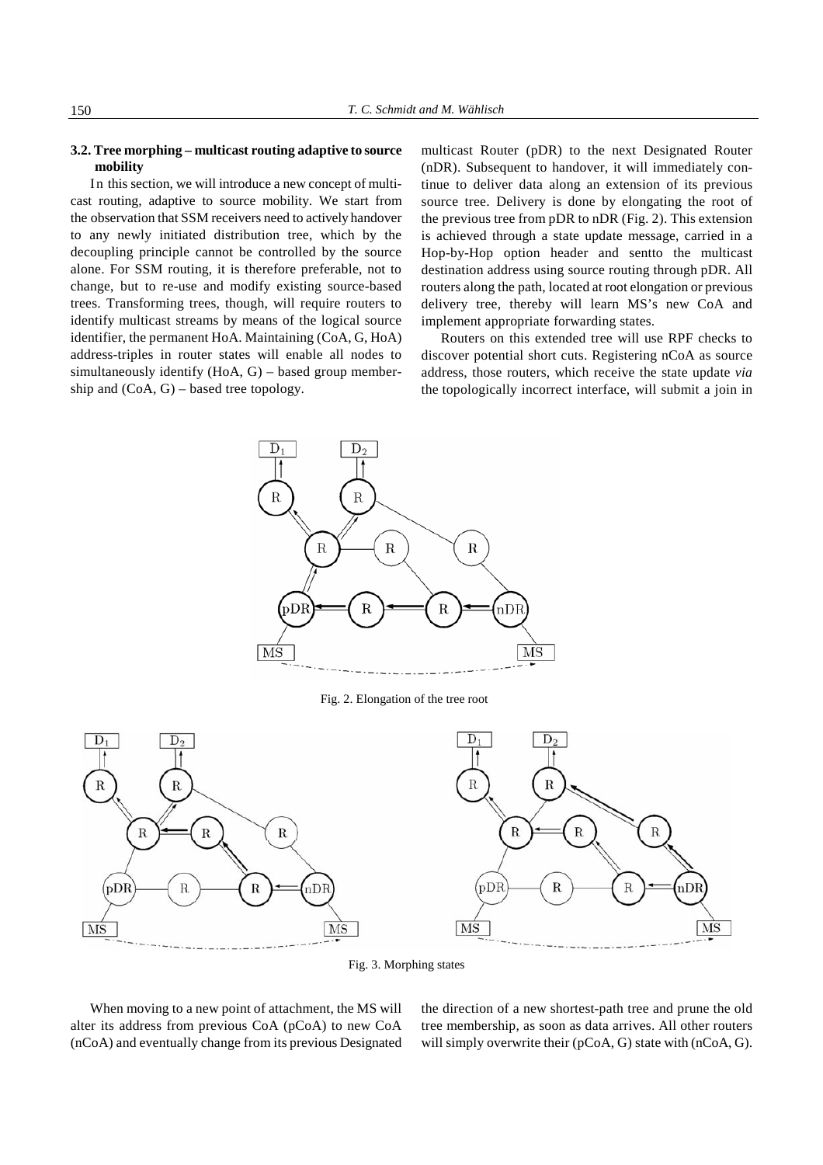## **3.2. Tree morphing – multicast routing adaptive to source mobility**

 In this section, we will introduce a new concept of multicast routing, adaptive to source mobility. We start from the observation that SSM receivers need to actively handover to any newly initiated distribution tree, which by the decoupling principle cannot be controlled by the source alone. For SSM routing, it is therefore preferable, not to change, but to re-use and modify existing source-based trees. Transforming trees, though, will require routers to identify multicast streams by means of the logical source identifier, the permanent HoA. Maintaining (CoA, G, HoA) address-triples in router states will enable all nodes to simultaneously identify (HoA, G) – based group membership and (CoA, G) – based tree topology.

multicast Router (pDR) to the next Designated Router (nDR). Subsequent to handover, it will immediately continue to deliver data along an extension of its previous source tree. Delivery is done by elongating the root of the previous tree from pDR to nDR (Fig. 2). This extension is achieved through a state update message, carried in a Hop-by-Hop option header and sentto the multicast destination address using source routing through pDR. All routers along the path, located at root elongation or previous delivery tree, thereby will learn MS's new CoA and implement appropriate forwarding states.

 Routers on this extended tree will use RPF checks to discover potential short cuts. Registering nCoA as source address, those routers, which receive the state update *via* the topologically incorrect interface, will submit a join in



Fig. 2. Elongation of the tree root



Fig. 3. Morphing states

When moving to a new point of attachment, the MS will alter its address from previous CoA (pCoA) to new CoA (nCoA) and eventually change from its previous Designated

the direction of a new shortest-path tree and prune the old tree membership, as soon as data arrives. All other routers will simply overwrite their (pCoA, G) state with (nCoA, G).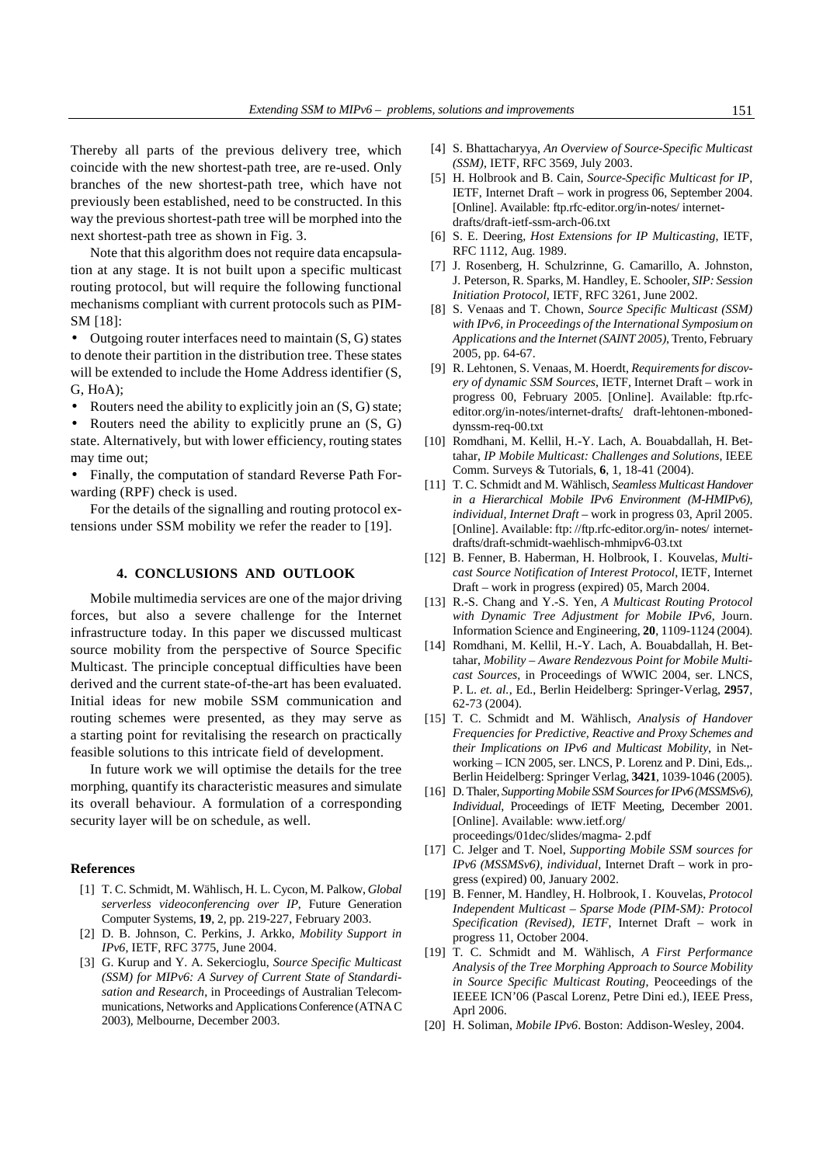Thereby all parts of the previous delivery tree, which coincide with the new shortest-path tree, are re-used. Only branches of the new shortest-path tree, which have not previously been established, need to be constructed. In this way the previous shortest-path tree will be morphed into the next shortest-path tree as shown in Fig. 3.

 Note that this algorithm does not require data encapsulation at any stage. It is not built upon a specific multicast routing protocol, but will require the following functional mechanisms compliant with current protocols such as PIM-SM [18]:

• Outgoing router interfaces need to maintain (S, G) states to denote their partition in the distribution tree. These states will be extended to include the Home Address identifier  $(S, \mathcal{L})$ G, HoA);

Routers need the ability to explicitly join an  $(S, G)$  state;

Routers need the ability to explicitly prune an  $(S, G)$ state. Alternatively, but with lower efficiency, routing states may time out;

• Finally, the computation of standard Reverse Path Forwarding (RPF) check is used.

 For the details of the signalling and routing protocol extensions under SSM mobility we refer the reader to [19].

## **4. CONCLUSIONS AND OUTLOOK**

 Mobile multimedia services are one of the major driving forces, but also a severe challenge for the Internet infrastructure today. In this paper we discussed multicast source mobility from the perspective of Source Specific Multicast. The principle conceptual difficulties have been derived and the current state-of-the-art has been evaluated. Initial ideas for new mobile SSM communication and routing schemes were presented, as they may serve as a starting point for revitalising the research on practically feasible solutions to this intricate field of development.

 In future work we will optimise the details for the tree morphing, quantify its characteristic measures and simulate its overall behaviour. A formulation of a corresponding security layer will be on schedule, as well.

## **References**

- [1] T. C. Schmidt, M. Wählisch, H. L. Cycon, M. Palkow, *Global serverless videoconferencing over IP*, Future Generation Computer Systems, **19**, 2, pp. 219-227, February 2003.
- [2] D. B. Johnson, C. Perkins, J. Arkko, *Mobility Support in IPv6*, IETF, RFC 3775, June 2004.
- [3] G. Kurup and Y. A. Sekercioglu, *Source Specific Multicast (SSM) for MIPv6: A Survey of Current State of Standardisation and Research*, in Proceedings of Australian Telecommunications, Networks and Applications Conference (ATNA C 2003), Melbourne, December 2003.
- [4] S. Bhattacharyya, *An Overview of Source-Specific Multicast (SSM)*, IETF, RFC 3569, July 2003.
- [5] H. Holbrook and B. Cain, *Source-Specific Multicast for IP*, IETF, Internet Draft – work in progress 06, September 2004. [Online]. Available: ftp.rfc-editor.org/in-notes/ internet drafts/draft-ietf-ssm-arch-06.txt
- [6] S. E. Deering, *Host Extensions for IP Multicasting*, IETF, RFC 1112, Aug. 1989.
- [7] J. Rosenberg, H. Schulzrinne, G. Camarillo, A. Johnston, J. Peterson, R. Sparks, M. Handley, E. Schooler, *SIP: Session Initiation Protocol*, IETF, RFC 3261, June 2002.
- [8] S. Venaas and T. Chown, *Source Specific Multicast (SSM) with IPv6, in Proceedings of the International Symposium on Applications and the Internet (SAINT 2005)*, Trento, February 2005, pp. 64-67.
- [9] R. Lehtonen, S. Venaas, M. Hoerdt, *Requirements for discovery of dynamic SSM Sources*, IETF, Internet Draft – work in progress 00, February 2005. [Online]. Available: ftp.rfceditor.org/in-notes/internet-drafts/ draft-lehtonen-mboneddynssm-req-00.txt
- [10] Romdhani, M. Kellil, H.-Y. Lach, A. Bouabdallah, H. Bettahar, *IP Mobile Multicast: Challenges and Solutions*, IEEE Comm. Surveys & Tutorials, **6**, 1, 18-41 (2004).
- [11] T. C. Schmidt and M. Wählisch, *Seamless Multicast Handover in a Hierarchical Mobile IPv6 Environment (M-HMIPv6), individual, Internet Draft* – work in progress 03, April 2005. [Online]. Available: ftp: //ftp.rfc-editor.org/in- notes/ internetdrafts/draft-schmidt-waehlisch-mhmipv6-03.txt
- [12] B. Fenner, B. Haberman, H. Holbrook, I. Kouvelas, *Multicast Source Notification of Interest Protocol*, IETF, Internet Draft – work in progress (expired) 05, March 2004.
- [13] R.-S. Chang and Y.-S. Yen, *A Multicast Routing Protocol with Dynamic Tree Adjustment for Mobile IPv6*, Journ. Information Science and Engineering, **20**, 1109-1124 (2004).
- [14] Romdhani, M. Kellil, H.-Y. Lach, A. Bouabdallah, H. Bettahar, *Mobility – Aware Rendezvous Point for Mobile Multicast Sources*, in Proceedings of WWIC 2004, ser. LNCS, P. L. *et. al.*, Ed., Berlin Heidelberg: Springer-Verlag, **2957**, 62-73 (2004).
- [15] T. C. Schmidt and M. Wählisch, *Analysis of Handover Frequencies for Predictive, Reactive and Proxy Schemes and their Implications on IPv6 and Multicast Mobility*, in Networking – ICN 2005, ser. LNCS, P. Lorenz and P. Dini, Eds.,. Berlin Heidelberg: Springer Verlag, **3421**, 1039-1046 (2005).
- [16] D. Thaler, *Supporting Mobile SSM Sources for IPv6 (MSSMSv6), Individual*, Proceedings of IETF Meeting, December 2001. [Online]. Available: www.ietf.org/ proceedings/01dec/slides/magma- 2.pdf
- [17] C. Jelger and T. Noel, *Supporting Mobile SSM sources for IPv6 (MSSMSv6), individual*, Internet Draft – work in progress (expired) 00, January 2002.
- [19] B. Fenner, M. Handley, H. Holbrook, I . Kouvelas, *Protocol Independent Multicast – Sparse Mode (PIM-SM): Protocol Specification (Revised)*, *IETF*, Internet Draft – work in progress 11, October 2004.
- [19] T. C. Schmidt and M. Wählisch, *A First Performance Analysis of the Tree Morphing Approach to Source Mobility in Source Specific Multicast Routing*, Peoceedings of the IEEEE ICN'06 (Pascal Lorenz, Petre Dini ed.), IEEE Press, Aprl 2006.
- [20] H. Soliman, *Mobile IPv6*. Boston: Addison-Wesley, 2004.